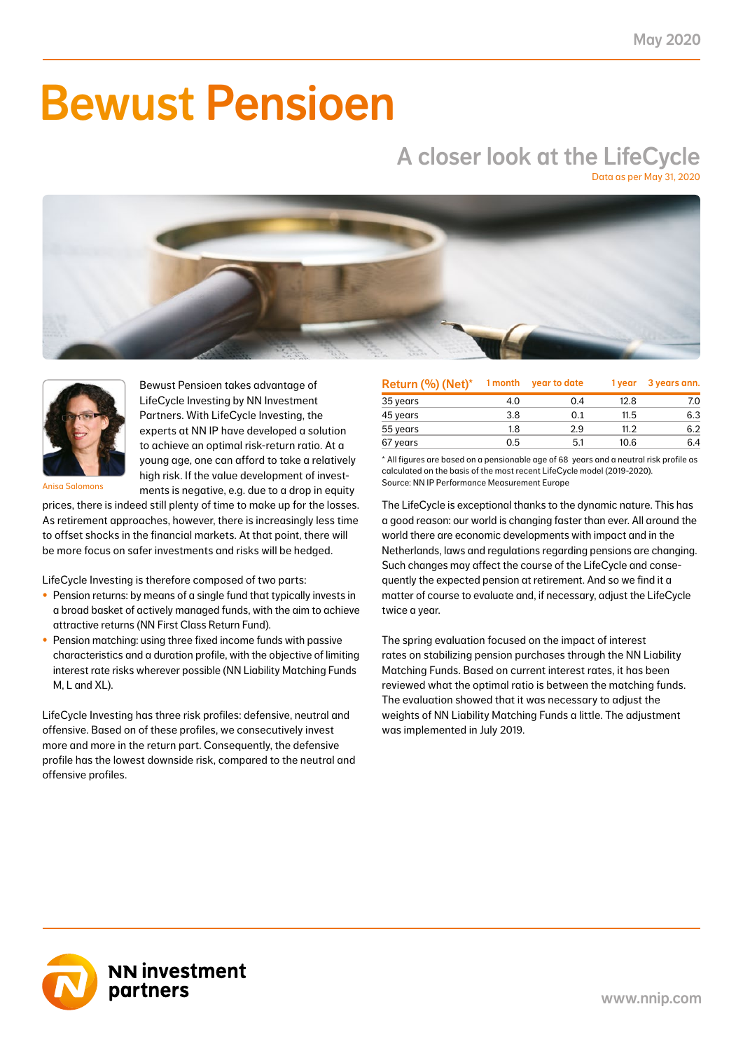# Bewust Pensioen

## A closer look at the LifeCycle

Data as per May 31, 2020





Bewust Pensioen takes advantage of LifeCycle Investing by NN Investment Partners. With LifeCycle Investing, the experts at NN IP have developed a solution to achieve an optimal risk-return ratio. At a young age, one can afford to take a relatively high risk. If the value development of investments is negative, e.g. due to a drop in equity

Anisa Salomons

prices, there is indeed still plenty of time to make up for the losses. As retirement approaches, however, there is increasingly less time to offset shocks in the financial markets. At that point, there will be more focus on safer investments and risks will be hedged.

LifeCycle Investing is therefore composed of two parts:

- Pension returns: by means of a single fund that typically invests in a broad basket of actively managed funds, with the aim to achieve attractive returns (NN First Class Return Fund).
- Pension matching: using three fixed income funds with passive characteristics and a duration profile, with the objective of limiting interest rate risks wherever possible (NN Liability Matching Funds M, L and XL).

LifeCycle Investing has three risk profiles: defensive, neutral and offensive. Based on of these profiles, we consecutively invest more and more in the return part. Consequently, the defensive profile has the lowest downside risk, compared to the neutral and offensive profiles.

| Return (%) (Net)* | 1 month | year to date | 1 year | 3 years ann. |
|-------------------|---------|--------------|--------|--------------|
| 35 years          | 4.0     | 0.4          | 12.8   | 7.0          |
| 45 years          | 3.8     | 0.1          | 11.5   | 6.3          |
| 55 years          | 1.8     | 2.9          | 11.2   | 6.2          |
| 67 years          | 0.5     | 5.1          | 10.6   | 6.4          |

\* All figures are based on a pensionable age of 68 years and a neutral risk profile as calculated on the basis of the most recent LifeCycle model (2019-2020). Source: NN IP Performance Measurement Europe

The LifeCycle is exceptional thanks to the dynamic nature. This has a good reason: our world is changing faster than ever. All around the world there are economic developments with impact and in the Netherlands, laws and regulations regarding pensions are changing. Such changes may affect the course of the LifeCycle and consequently the expected pension at retirement. And so we find it a matter of course to evaluate and, if necessary, adjust the LifeCycle twice a year.

The spring evaluation focused on the impact of interest rates on stabilizing pension purchases through the NN Liability Matching Funds. Based on current interest rates, it has been reviewed what the optimal ratio is between the matching funds. The evaluation showed that it was necessary to adjust the weights of NN Liability Matching Funds a little. The adjustment was implemented in July 2019.

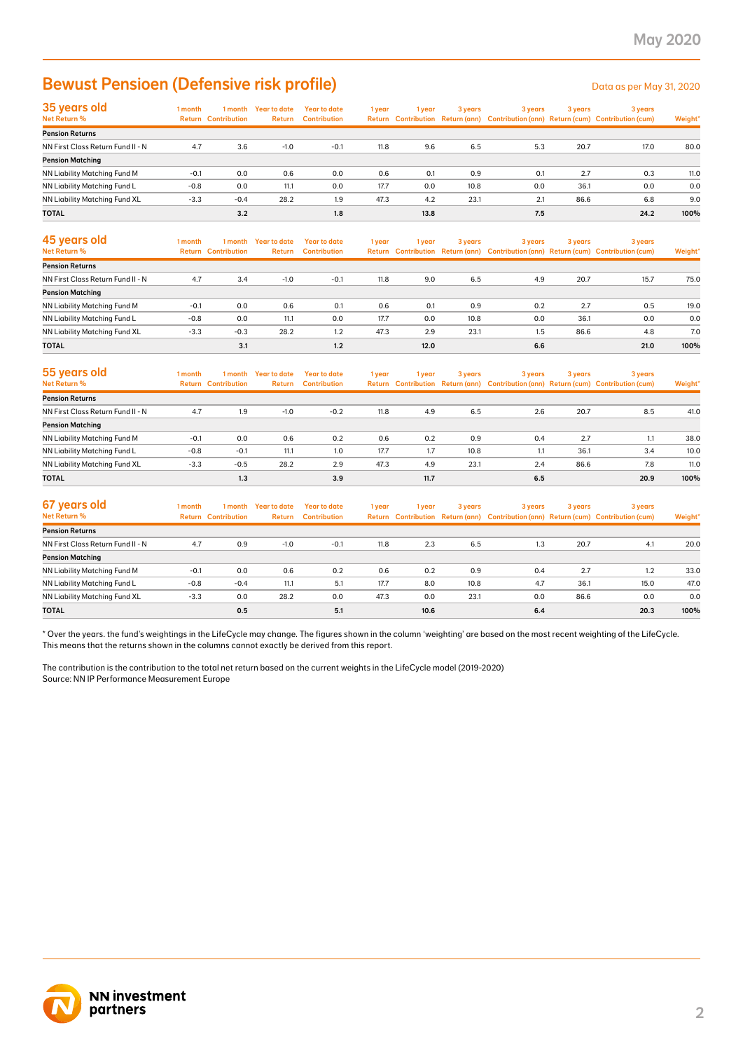### Bewust Pensioen (Defensive risk profile) Data as per May 31, 2020

| 35 years old                         | 1 month |                            | I month Year to date | Year to date        | 1 year | i year | 3 years | 3 years | 3 years | 3 years                                                                             |         |
|--------------------------------------|---------|----------------------------|----------------------|---------------------|--------|--------|---------|---------|---------|-------------------------------------------------------------------------------------|---------|
| Net Return %                         |         | <b>Return Contribution</b> | <b>Return</b>        | <b>Contribution</b> |        |        |         |         |         | Return Contribution Return (ann) Contribution (ann) Return (cum) Contribution (cum) | Weight* |
| <b>Pension Returns</b>               |         |                            |                      |                     |        |        |         |         |         |                                                                                     |         |
| NN First Class Return Fund II - N    | 4.7     | 3.6                        | $-1.0$               | $-0.1$              | 11.8   | 9.6    | 6.5     | 5.3     | 20.7    | 17.0                                                                                | 80.0    |
| <b>Pension Matching</b>              |         |                            |                      |                     |        |        |         |         |         |                                                                                     |         |
| <b>NN Liability Matching Fund M</b>  | $-0.1$  | 0.0                        | 0.6                  | 0.0                 | 0.6    | 0.1    | 0.9     | 0.1     | 2.7     | 0.3                                                                                 | 11.0    |
| NN Liability Matching Fund L         | $-0.8$  | 0.0                        | 11.1                 | 0.0                 | 17.7   | 0.0    | 10.8    | 0.0     | 36.1    | 0.0                                                                                 | 0.0     |
| <b>NN Liability Matching Fund XL</b> | $-3.3$  | $-0.4$                     | 28.2                 | 1.9                 | 47.3   | 4.2    | 23.1    | 2.1     | 86.6    | 6.8                                                                                 | 9.0     |
| <b>TOTAL</b>                         |         | 3.2                        |                      | 1.8                 |        | 13.8   |         | 7.5     |         | 24.2                                                                                | 100%    |

| 45 years old<br>Net Return %      | 1 month | 1 month<br><b>Return Contribution</b> | Year to date<br><b>Return</b> | Year to date<br><b>Contribution</b> | 1 year | 1 vear | 3 years | 3 years | 3 years | 3 years<br>Return Contribution Return (ann) Contribution (ann) Return (cum) Contribution (cum) | Weight* |
|-----------------------------------|---------|---------------------------------------|-------------------------------|-------------------------------------|--------|--------|---------|---------|---------|------------------------------------------------------------------------------------------------|---------|
| <b>Pension Returns</b>            |         |                                       |                               |                                     |        |        |         |         |         |                                                                                                |         |
| NN First Class Return Fund II - N | 4.7     | 3.4                                   | $-1.0$                        | $-0.1$                              | 11.8   | 9.0    | 6.5     | 4.9     | 20.7    | 15.7                                                                                           | 75.0    |
| <b>Pension Matching</b>           |         |                                       |                               |                                     |        |        |         |         |         |                                                                                                |         |
| NN Liability Matching Fund M      | $-0.1$  | 0.0                                   | 0.6                           | 0.1                                 | 0.6    | 0.1    | 0.9     | 0.2     | 2.7     | 0.5                                                                                            | 19.0    |
| NN Liability Matching Fund L      | $-0.8$  | 0.0                                   | 11.1                          | 0.0                                 | 17.7   | 0.0    | 10.8    | 0.0     | 36.1    | 0.0                                                                                            | 0.0     |
| NN Liability Matching Fund XL     | $-3.3$  | $-0.3$                                | 28.2                          | 1.2                                 | 47.3   | 2.9    | 23.1    | 1.5     | 86.6    | 4.8                                                                                            | 7.0     |
| <b>TOTAL</b>                      |         | 3.1                                   |                               | 1.2                                 |        | 12.0   |         | 6.6     |         | 21.0                                                                                           | 100%    |

| 55 years old<br>Net Return %      | l month | 1 month<br><b>Return Contribution</b> | Year to date<br><b>Return</b> | Year to date<br><b>Contribution</b> | 1 year | 1 vear | 3 years | 3 years | 3 years | 3 years<br>Return Contribution Return (ann) Contribution (ann) Return (cum) Contribution (cum) | Weight* |
|-----------------------------------|---------|---------------------------------------|-------------------------------|-------------------------------------|--------|--------|---------|---------|---------|------------------------------------------------------------------------------------------------|---------|
| <b>Pension Returns</b>            |         |                                       |                               |                                     |        |        |         |         |         |                                                                                                |         |
| NN First Class Return Fund II - N | 4.7     | 1.9                                   | $-1.0$                        | $-0.2$                              | 11.8   | 4.9    | 6.5     | 2.6     | 20.7    | 8.5                                                                                            | 41.0    |
| <b>Pension Matching</b>           |         |                                       |                               |                                     |        |        |         |         |         |                                                                                                |         |
| NN Liability Matching Fund M      | $-0.1$  | 0.0                                   | 0.6                           | 0.2                                 | 0.6    | 0.2    | 0.9     | 0.4     | 2.7     | 1.1                                                                                            | 38.0    |
| NN Liability Matching Fund L      | $-0.8$  | $-0.1$                                | 11.1                          | 1.0                                 | 17.7   | 1.7    | 10.8    | 1.1     | 36.1    | 3.4                                                                                            | 10.0    |
| NN Liability Matching Fund XL     | $-3.3$  | $-0.5$                                | 28.2                          | 2.9                                 | 47.3   | 4.9    | 23.1    | 2.4     | 86.6    | 7.8                                                                                            | 11.0    |
| <b>TOTAL</b>                      |         | 1.3                                   |                               | 3.9                                 |        | 11.7   |         | 6.5     |         | 20.9                                                                                           | 100%    |

| 67 years old<br>Net Return %      | I month<br>Return | 1 month<br><b>Contribution</b> | Year to date<br><b>Return</b> | Year to date<br><b>Contribution</b> | 1 year | 1 year | 3 years | 3 years | 3 years | 3 years<br>Return Contribution Return (ann) Contribution (ann) Return (cum) Contribution (cum) | Weight* |
|-----------------------------------|-------------------|--------------------------------|-------------------------------|-------------------------------------|--------|--------|---------|---------|---------|------------------------------------------------------------------------------------------------|---------|
| <b>Pension Returns</b>            |                   |                                |                               |                                     |        |        |         |         |         |                                                                                                |         |
| NN First Class Return Fund II - N | 4.7               | 0.9                            | $-1.0$                        | $-0.1$                              | 11.8   | 2.3    | 6.5     | 1.3     | 20.7    | 4.1                                                                                            | 20.0    |
| <b>Pension Matching</b>           |                   |                                |                               |                                     |        |        |         |         |         |                                                                                                |         |
| NN Liability Matching Fund M      | $-0.1$            | 0.0                            | 0.6                           | 0.2                                 | 0.6    | 0.2    | 0.9     | 0.4     | 2.7     | 1.2                                                                                            | 33.0    |
| NN Liability Matching Fund L      | $-0.8$            | $-0.4$                         | 11.1                          | 5.1                                 | 17.7   | 8.0    | 10.8    | 4.7     | 36.1    | 15.0                                                                                           | 47.0    |
| NN Liability Matching Fund XL     | $-3.3$            | 0.0                            | 28.2                          | 0.0                                 | 47.3   | 0.0    | 23.1    | 0.0     | 86.6    | 0.0                                                                                            | 0.0     |
| <b>TOTAL</b>                      |                   | 0.5                            |                               | 5.1                                 |        | 10.6   |         | 6.4     |         | 20.3                                                                                           | 100%    |

\* Over the years. the fund's weightings in the LifeCycle may change. The figures shown in the column 'weighting' are based on the most recent weighting of the LifeCycle. This means that the returns shown in the columns cannot exactly be derived from this report.

The contribution is the contribution to the total net return based on the current weights in the LifeCycle model (2019-2020) Source: NN IP Performance Measurement Europe

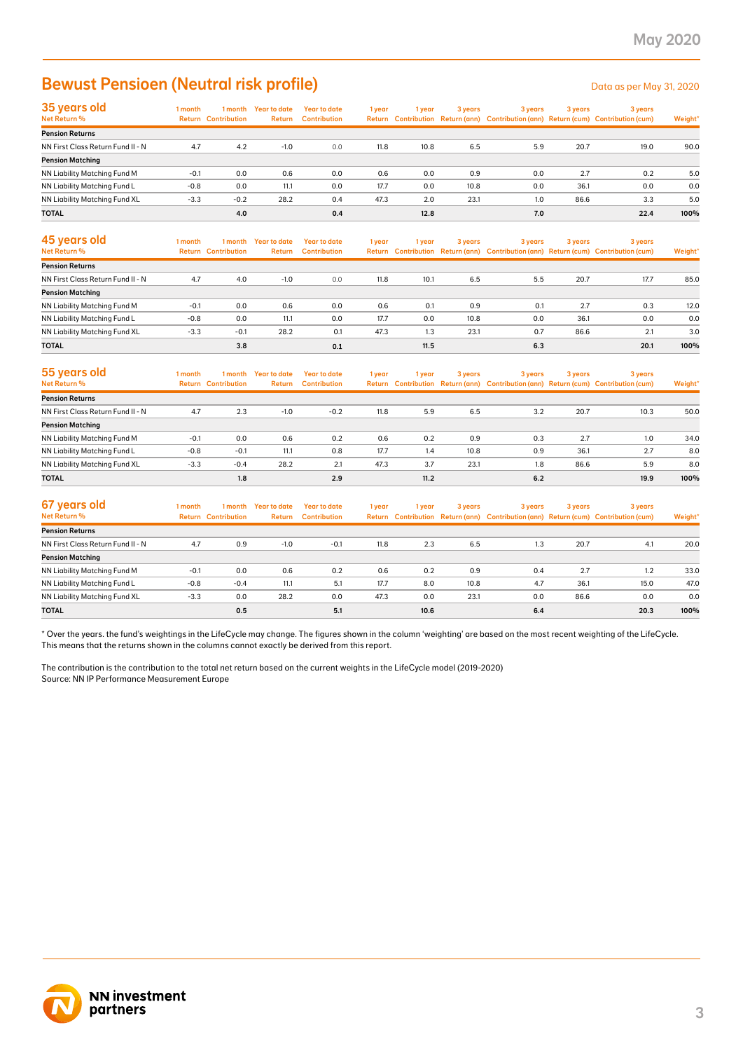### Bewust Pensioen (Neutral risk profile) Data as per May 31, 2020

| 35 years old                      | 1 month |                            | 1 month Year to date | <b>Year to date</b> | 1 year | l year | 3 years | 3 years | 3 years | 3 years                                                                             |         |
|-----------------------------------|---------|----------------------------|----------------------|---------------------|--------|--------|---------|---------|---------|-------------------------------------------------------------------------------------|---------|
| Net Return %                      |         | <b>Return Contribution</b> | <b>Return</b>        | <b>Contribution</b> |        |        |         |         |         | Return Contribution Return (ann) Contribution (ann) Return (cum) Contribution (cum) | Weight* |
| <b>Pension Returns</b>            |         |                            |                      |                     |        |        |         |         |         |                                                                                     |         |
| NN First Class Return Fund II - N | 4.7     | 4.2                        | $-1.0$               | 0.0                 | 11.8   | 10.8   | 6.5     | 5.9     | 20.7    | 19.0                                                                                | 90.0    |
| <b>Pension Matching</b>           |         |                            |                      |                     |        |        |         |         |         |                                                                                     |         |
| NN Liability Matching Fund M      | $-0.1$  | 0.0                        | 0.6                  | 0.0                 | 0.6    | 0.0    | 0.9     | 0.0     | 2.7     | 0.2                                                                                 | 5.0     |
| NN Liability Matching Fund L      | $-0.8$  | 0.0                        | 11.1                 | 0.0                 | 17.7   | 0.0    | 10.8    | 0.0     | 36.1    | 0.0                                                                                 | 0.0     |
| NN Liability Matching Fund XL     | $-3.3$  | $-0.2$                     | 28.2                 | 0.4                 | 47.3   | 2.0    | 23.1    | 1.0     | 86.6    | 3.3                                                                                 | 5.0     |
| <b>TOTAL</b>                      |         | 4.0                        |                      | 0.4                 |        | 12.8   |         | 7.0     |         | 22.4                                                                                | 100%    |

| 45 years old<br>Net Return %      | 1 month<br>Return | 1 month<br><b>Contribution</b> | Year to date<br>Return | Year to date<br><b>Contribution</b> | 1 year | 1 vear | 3 years | 3 years | 3 years | 3 years<br>Return Contribution Return (ann) Contribution (ann) Return (cum) Contribution (cum) | Weight* |
|-----------------------------------|-------------------|--------------------------------|------------------------|-------------------------------------|--------|--------|---------|---------|---------|------------------------------------------------------------------------------------------------|---------|
| <b>Pension Returns</b>            |                   |                                |                        |                                     |        |        |         |         |         |                                                                                                |         |
| NN First Class Return Fund II - N | 4.7               | 4.0                            | $-1.0$                 | 0.0                                 | 11.8   | 10.1   | 6.5     | 5.5     | 20.7    | 17.7                                                                                           | 85.0    |
| <b>Pension Matching</b>           |                   |                                |                        |                                     |        |        |         |         |         |                                                                                                |         |
| NN Liability Matching Fund M      | $-0.1$            | 0.0                            | 0.6                    | 0.0                                 | 0.6    | 0.1    | 0.9     | 0.1     | 2.7     | 0.3                                                                                            | 12.0    |
| NN Liability Matching Fund L      | $-0.8$            | 0.0                            | 11.1                   | 0.0                                 | 17.7   | 0.0    | 10.8    | 0.0     | 36.1    | 0.0                                                                                            | 0.0     |
| NN Liability Matching Fund XL     | $-3.3$            | $-0.1$                         | 28.2                   | 0.1                                 | 47.3   | 1.3    | 23.1    | 0.7     | 86.6    | 2.1                                                                                            | 3.0     |
| <b>TOTAL</b>                      |                   | 3.8                            |                        | 0.1                                 |        | 11.5   |         | 6.3     |         | 20.1                                                                                           | 100%    |

| 55 years old<br>Net Return %      | l month | 1 month<br><b>Return Contribution</b> | <b>Year to date</b><br>Return | Year to date<br><b>Contribution</b> | 1 year | 1 year | 3 years | 3 years | 3 years | 3 years<br>Return Contribution Return (ann) Contribution (ann) Return (cum) Contribution (cum) | Weight* |
|-----------------------------------|---------|---------------------------------------|-------------------------------|-------------------------------------|--------|--------|---------|---------|---------|------------------------------------------------------------------------------------------------|---------|
| <b>Pension Returns</b>            |         |                                       |                               |                                     |        |        |         |         |         |                                                                                                |         |
| NN First Class Return Fund II - N | 4.7     | 2.3                                   | $-1.0$                        | $-0.2$                              | 11.8   | 5.9    | 6.5     | 3.2     | 20.7    | 10.3                                                                                           | 50.0    |
| <b>Pension Matching</b>           |         |                                       |                               |                                     |        |        |         |         |         |                                                                                                |         |
| NN Liability Matching Fund M      | $-0.1$  | 0.0                                   | 0.6                           | 0.2                                 | 0.6    | 0.2    | 0.9     | 0.3     | 2.7     | 1.0                                                                                            | 34.0    |
| NN Liability Matching Fund L      | $-0.8$  | $-0.1$                                | 11.1                          | 0.8                                 | 17.7   | 1.4    | 10.8    | 0.9     | 36.1    | 2.7                                                                                            | 8.0     |
| NN Liability Matching Fund XL     | $-3.3$  | $-0.4$                                | 28.2                          | 2.1                                 | 47.3   | 3.7    | 23.1    | 1.8     | 86.6    | 5.9                                                                                            | 8.0     |
| <b>TOTAL</b>                      |         | 1.8                                   |                               | 2.9                                 |        | 11.2   |         | 6.2     |         | 19.9                                                                                           | 100%    |

| 67 years old<br>Net Return %      | 1 month | 1 month<br><b>Return Contribution</b> | Year to date<br>Return | Year to date<br><b>Contribution</b> | 1 year | 1 year | 3 years | 3 years | 3 years | 3 years<br>Return Contribution Return (ann) Contribution (ann) Return (cum) Contribution (cum) | Weight* |
|-----------------------------------|---------|---------------------------------------|------------------------|-------------------------------------|--------|--------|---------|---------|---------|------------------------------------------------------------------------------------------------|---------|
| <b>Pension Returns</b>            |         |                                       |                        |                                     |        |        |         |         |         |                                                                                                |         |
| NN First Class Return Fund II - N | 4.7     | 0.9                                   | $-1.0$                 | $-0.1$                              | 11.8   | 2.3    | 6.5     | 1.3     | 20.7    | 4.1                                                                                            | 20.0    |
| <b>Pension Matching</b>           |         |                                       |                        |                                     |        |        |         |         |         |                                                                                                |         |
| NN Liability Matching Fund M      | $-0.1$  | 0.0                                   | 0.6                    | 0.2                                 | 0.6    | 0.2    | 0.9     | 0.4     | 2.7     | 1.2                                                                                            | 33.0    |
| NN Liability Matching Fund L      | $-0.8$  | $-0.4$                                | 11.1                   | 5.1                                 | 17.7   | 8.0    | 10.8    | 4.7     | 36.1    | 15.0                                                                                           | 47.0    |
| NN Liability Matching Fund XL     | $-3.3$  | 0.0                                   | 28.2                   | 0.0                                 | 47.3   | 0.0    | 23.1    | 0.0     | 86.6    | 0.0                                                                                            | 0.0     |
| <b>TOTAL</b>                      |         | 0.5                                   |                        | 5.1                                 |        | 10.6   |         | 6.4     |         | 20.3                                                                                           | 100%    |

\* Over the years. the fund's weightings in the LifeCycle may change. The figures shown in the column 'weighting' are based on the most recent weighting of the LifeCycle. This means that the returns shown in the columns cannot exactly be derived from this report.

The contribution is the contribution to the total net return based on the current weights in the LifeCycle model (2019-2020) Source: NN IP Performance Measurement Europe